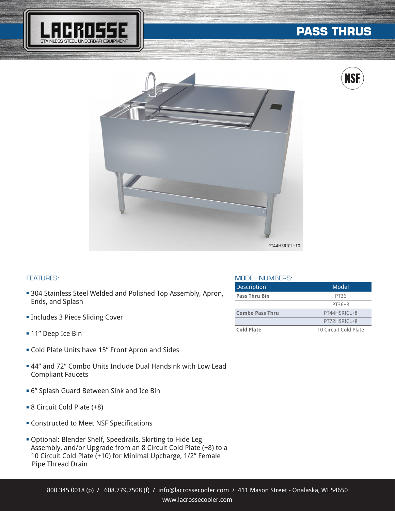

# **PASS THRUS**



## **NSI fi**

### FEATURES:

- **304 Stainless Steel Welded and Polished Top Assembly, Apron,** Ends, and Splash
- **Includes 3 Piece Sliding Cover**
- 11" Deep Ice Bin
- **Cold Plate Units have 15" Front Apron and Sides**
- **44" and 72" Combo Units Include Dual Handsink with Low Lead** Compliant Faucets
- <sup>n</sup> 6" Splash Guard Between Sink and Ice Bin
- 8 Circuit Cold Plate (+8)
- **EX Constructed to Meet NSF Specifications**
- **Optional: Blender Shelf, Speedrails, Skirting to Hide Leg** Assembly, and/or Upgrade from an 8 Circuit Cold Plate (+8) to a 10 Circuit Cold Plate (+10) for Minimal Upcharge, 1/2" Female Pipe Thread Drain

### MODEL NUMBERS:

| <b>Description</b>     | Model                 |
|------------------------|-----------------------|
| <b>Pass Thru Bin</b>   | PT36                  |
|                        | PT36+8                |
| <b>Combo Pass Thru</b> | PT44HSRICL+8          |
|                        | PT72HSRICL+8          |
| Cold Plate             | 10 Circuit Cold Plate |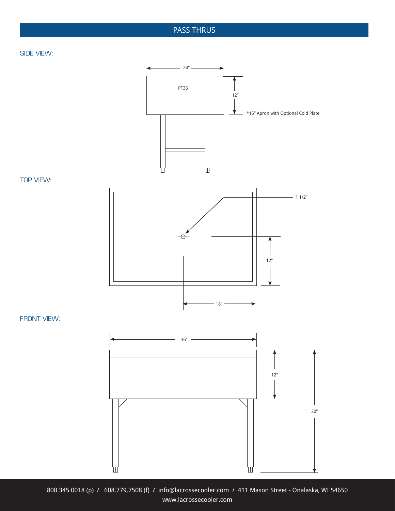### PASS THRUS

### SIDE VIEW:



TOP VIEW:



FRONT VIEW:



800.345.0018 (p) / 608.779.7508 (f) / info@lacrossecooler.com / 411 Mason Street - Onalaska, WI 54650 www.lacrossecooler.com